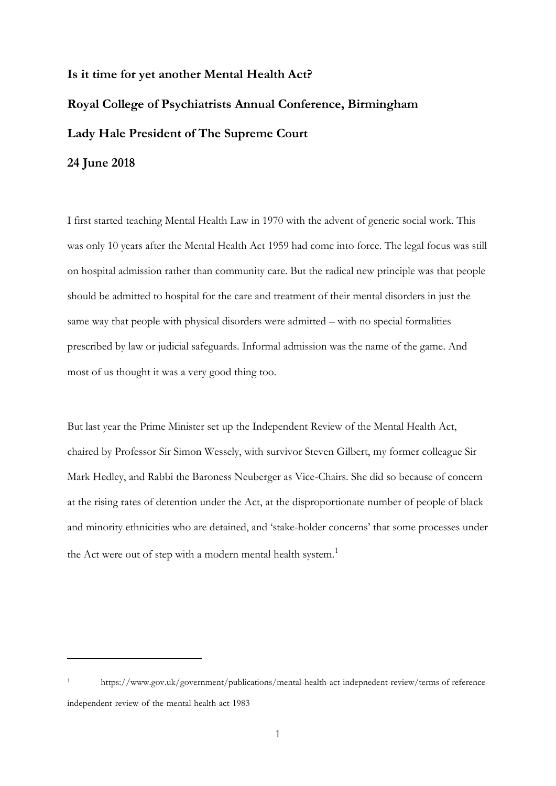## **Is it time for yet another Mental Health Act? Royal College of Psychiatrists Annual Conference, Birmingham Lady Hale President of The Supreme Court 24 June 2018**

I first started teaching Mental Health Law in 1970 with the advent of generic social work. This was only 10 years after the Mental Health Act 1959 had come into force. The legal focus was still on hospital admission rather than community care. But the radical new principle was that people should be admitted to hospital for the care and treatment of their mental disorders in just the same way that people with physical disorders were admitted – with no special formalities prescribed by law or judicial safeguards. Informal admission was the name of the game. And most of us thought it was a very good thing too.

But last year the Prime Minister set up the Independent Review of the Mental Health Act, chaired by Professor Sir Simon Wessely, with survivor Steven Gilbert, my former colleague Sir Mark Hedley, and Rabbi the Baroness Neuberger as Vice-Chairs. She did so because of concern at the rising rates of detention under the Act, at the disproportionate number of people of black and minority ethnicities who are detained, and 'stake-holder concerns' that some processes under the Act were out of step with a modern mental health system.<sup>1</sup>

<sup>1</sup> https://www.gov.uk/government/publications/mental-health-act-indepnedent-review/terms of referenceindependent-review-of-the-mental-health-act-1983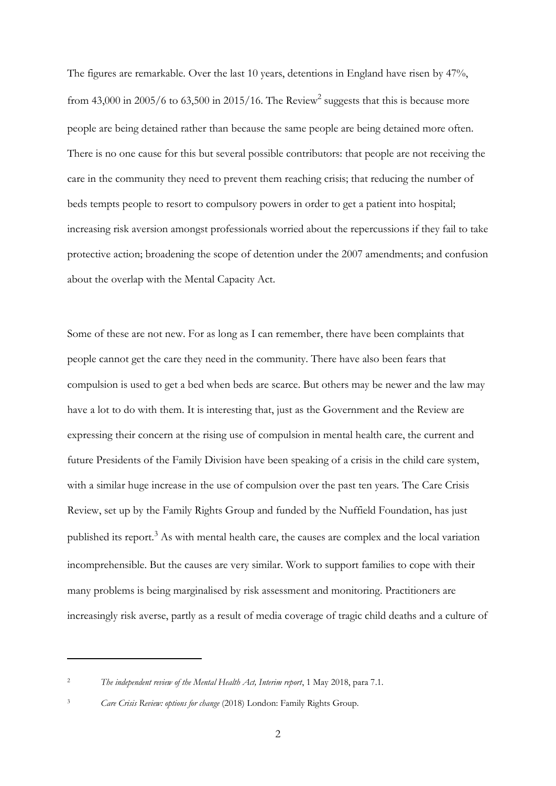The figures are remarkable. Over the last 10 years, detentions in England have risen by 47%, from 43,000 in 2005/6 to 63,500 in 2015/16. The Review<sup>2</sup> suggests that this is because more people are being detained rather than because the same people are being detained more often. There is no one cause for this but several possible contributors: that people are not receiving the care in the community they need to prevent them reaching crisis; that reducing the number of beds tempts people to resort to compulsory powers in order to get a patient into hospital; increasing risk aversion amongst professionals worried about the repercussions if they fail to take protective action; broadening the scope of detention under the 2007 amendments; and confusion about the overlap with the Mental Capacity Act.

Some of these are not new. For as long as I can remember, there have been complaints that people cannot get the care they need in the community. There have also been fears that compulsion is used to get a bed when beds are scarce. But others may be newer and the law may have a lot to do with them. It is interesting that, just as the Government and the Review are expressing their concern at the rising use of compulsion in mental health care, the current and future Presidents of the Family Division have been speaking of a crisis in the child care system, with a similar huge increase in the use of compulsion over the past ten years. The Care Crisis Review, set up by the Family Rights Group and funded by the Nuffield Foundation, has just published its report.<sup>3</sup> As with mental health care, the causes are complex and the local variation incomprehensible. But the causes are very similar. Work to support families to cope with their many problems is being marginalised by risk assessment and monitoring. Practitioners are increasingly risk averse, partly as a result of media coverage of tragic child deaths and a culture of

<sup>2</sup> *The independent review of the Mental Health Act, Interim report*, 1 May 2018, para 7.1.

<sup>3</sup> *Care Crisis Review: options for change* (2018) London: Family Rights Group.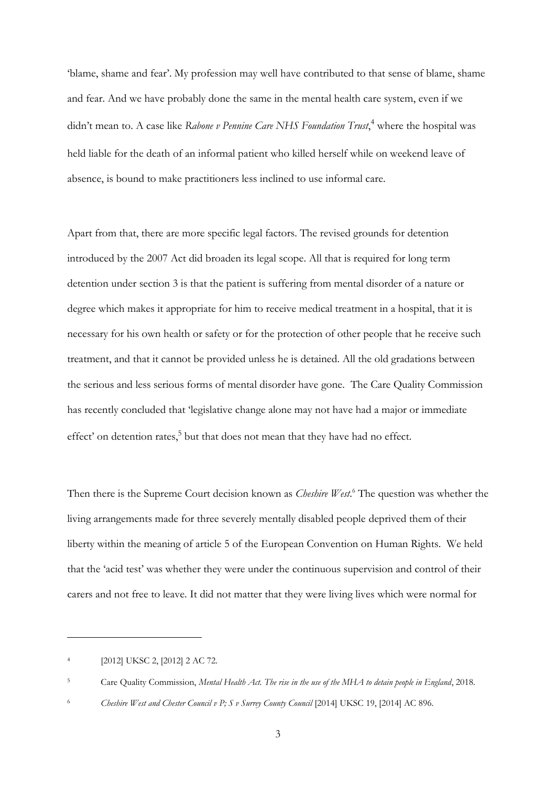'blame, shame and fear'. My profession may well have contributed to that sense of blame, shame and fear. And we have probably done the same in the mental health care system, even if we didn't mean to. A case like *Rabone v Pennine Care NHS Foundation Trust*, <sup>4</sup> where the hospital was held liable for the death of an informal patient who killed herself while on weekend leave of absence, is bound to make practitioners less inclined to use informal care.

Apart from that, there are more specific legal factors. The revised grounds for detention introduced by the 2007 Act did broaden its legal scope. All that is required for long term detention under section 3 is that the patient is suffering from mental disorder of a nature or degree which makes it appropriate for him to receive medical treatment in a hospital, that it is necessary for his own health or safety or for the protection of other people that he receive such treatment, and that it cannot be provided unless he is detained. All the old gradations between the serious and less serious forms of mental disorder have gone. The Care Quality Commission has recently concluded that 'legislative change alone may not have had a major or immediate effect' on detention rates,<sup>5</sup> but that does not mean that they have had no effect.

Then there is the Supreme Court decision known as *Cheshire West*. <sup>6</sup> The question was whether the living arrangements made for three severely mentally disabled people deprived them of their liberty within the meaning of article 5 of the European Convention on Human Rights. We held that the 'acid test' was whether they were under the continuous supervision and control of their carers and not free to leave. It did not matter that they were living lives which were normal for

<sup>4</sup> [2012] UKSC 2, [2012] 2 AC 72.

<sup>5</sup> Care Quality Commission, *Mental Health Act. The rise in the use of the MHA to detain people in England*, 2018.

<sup>&</sup>lt;sup>6</sup> *Cheshire West and Chester Council v P; S v Surrey County Council* [2014] UKSC 19, [2014] AC 896.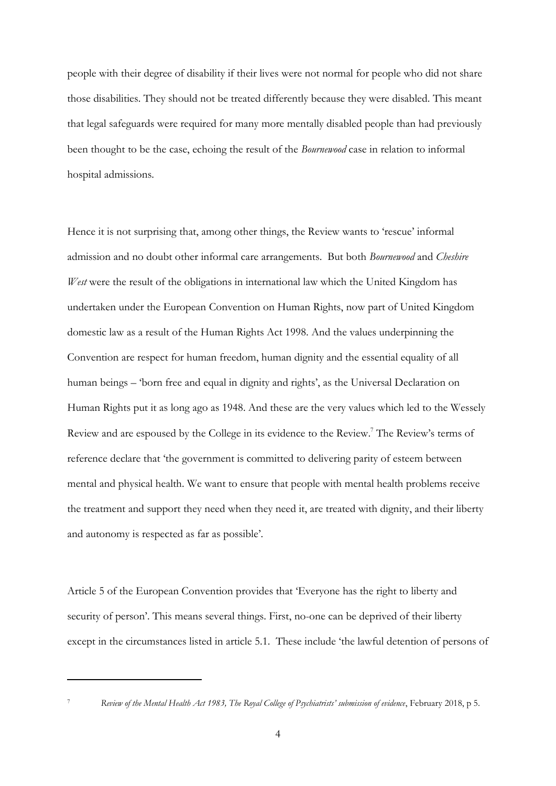people with their degree of disability if their lives were not normal for people who did not share those disabilities. They should not be treated differently because they were disabled. This meant that legal safeguards were required for many more mentally disabled people than had previously been thought to be the case, echoing the result of the *Bournewood* case in relation to informal hospital admissions.

Hence it is not surprising that, among other things, the Review wants to 'rescue' informal admission and no doubt other informal care arrangements. But both *Bournewood* and *Cheshire West* were the result of the obligations in international law which the United Kingdom has undertaken under the European Convention on Human Rights, now part of United Kingdom domestic law as a result of the Human Rights Act 1998. And the values underpinning the Convention are respect for human freedom, human dignity and the essential equality of all human beings – 'born free and equal in dignity and rights', as the Universal Declaration on Human Rights put it as long ago as 1948. And these are the very values which led to the Wessely Review and are espoused by the College in its evidence to the Review.<sup>7</sup> The Review's terms of reference declare that 'the government is committed to delivering parity of esteem between mental and physical health. We want to ensure that people with mental health problems receive the treatment and support they need when they need it, are treated with dignity, and their liberty and autonomy is respected as far as possible'.

Article 5 of the European Convention provides that 'Everyone has the right to liberty and security of person'. This means several things. First, no-one can be deprived of their liberty except in the circumstances listed in article 5.1. These include 'the lawful detention of persons of

<sup>7</sup> *Review of the Mental Health Act 1983, The Royal College of Psychiatrists' submission of evidence*, February 2018, p 5.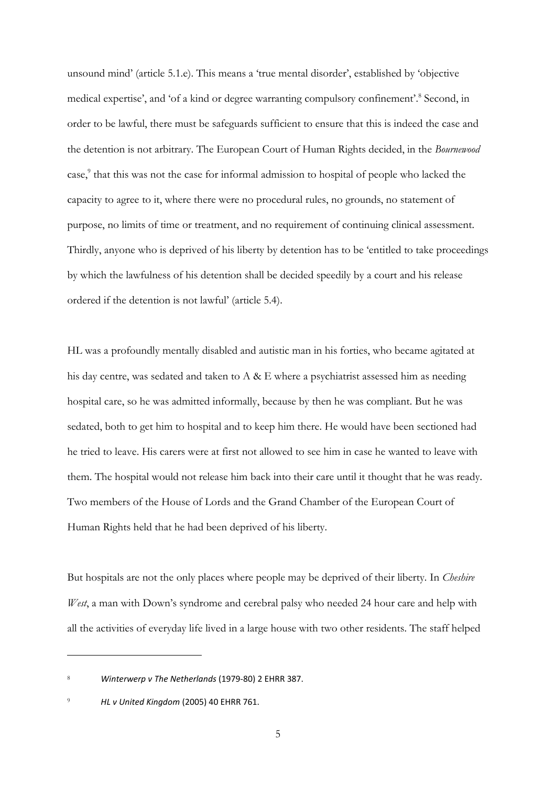unsound mind' (article 5.1.e). This means a 'true mental disorder', established by 'objective medical expertise', and 'of a kind or degree warranting compulsory confinement'. 8 Second, in order to be lawful, there must be safeguards sufficient to ensure that this is indeed the case and the detention is not arbitrary. The European Court of Human Rights decided, in the *Bournewood* case,<sup>9</sup> that this was not the case for informal admission to hospital of people who lacked the capacity to agree to it, where there were no procedural rules, no grounds, no statement of purpose, no limits of time or treatment, and no requirement of continuing clinical assessment. Thirdly, anyone who is deprived of his liberty by detention has to be 'entitled to take proceedings by which the lawfulness of his detention shall be decided speedily by a court and his release ordered if the detention is not lawful' (article 5.4).

HL was a profoundly mentally disabled and autistic man in his forties, who became agitated at his day centre, was sedated and taken to  $A \& E$  where a psychiatrist assessed him as needing hospital care, so he was admitted informally, because by then he was compliant. But he was sedated, both to get him to hospital and to keep him there. He would have been sectioned had he tried to leave. His carers were at first not allowed to see him in case he wanted to leave with them. The hospital would not release him back into their care until it thought that he was ready. Two members of the House of Lords and the Grand Chamber of the European Court of Human Rights held that he had been deprived of his liberty.

But hospitals are not the only places where people may be deprived of their liberty. In *Cheshire West*, a man with Down's syndrome and cerebral palsy who needed 24 hour care and help with all the activities of everyday life lived in a large house with two other residents. The staff helped

<sup>8</sup> *Winterwerp v The Netherlands* (1979-80) 2 EHRR 387.

<sup>9</sup> *HL v United Kingdom* (2005) 40 EHRR 761.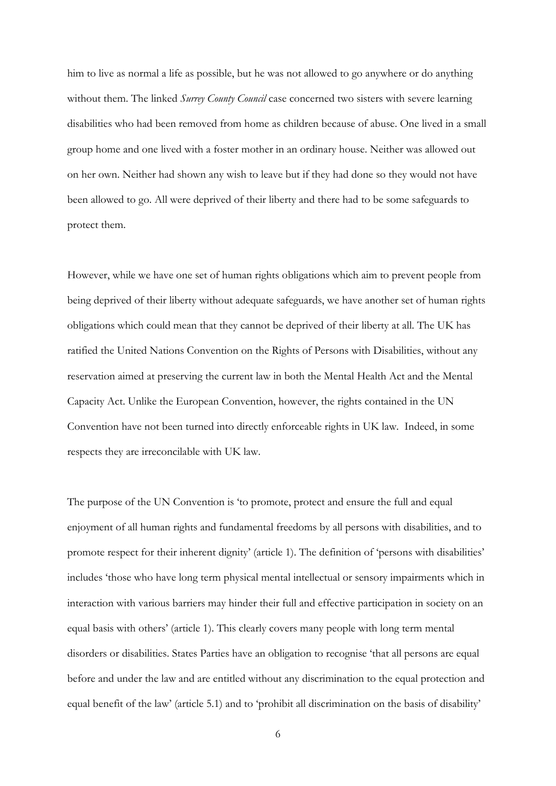him to live as normal a life as possible, but he was not allowed to go anywhere or do anything without them. The linked *Surrey County Council* case concerned two sisters with severe learning disabilities who had been removed from home as children because of abuse. One lived in a small group home and one lived with a foster mother in an ordinary house. Neither was allowed out on her own. Neither had shown any wish to leave but if they had done so they would not have been allowed to go. All were deprived of their liberty and there had to be some safeguards to protect them.

However, while we have one set of human rights obligations which aim to prevent people from being deprived of their liberty without adequate safeguards, we have another set of human rights obligations which could mean that they cannot be deprived of their liberty at all. The UK has ratified the United Nations Convention on the Rights of Persons with Disabilities, without any reservation aimed at preserving the current law in both the Mental Health Act and the Mental Capacity Act. Unlike the European Convention, however, the rights contained in the UN Convention have not been turned into directly enforceable rights in UK law. Indeed, in some respects they are irreconcilable with UK law.

The purpose of the UN Convention is 'to promote, protect and ensure the full and equal enjoyment of all human rights and fundamental freedoms by all persons with disabilities, and to promote respect for their inherent dignity' (article 1). The definition of 'persons with disabilities' includes 'those who have long term physical mental intellectual or sensory impairments which in interaction with various barriers may hinder their full and effective participation in society on an equal basis with others' (article 1). This clearly covers many people with long term mental disorders or disabilities. States Parties have an obligation to recognise 'that all persons are equal before and under the law and are entitled without any discrimination to the equal protection and equal benefit of the law' (article 5.1) and to 'prohibit all discrimination on the basis of disability'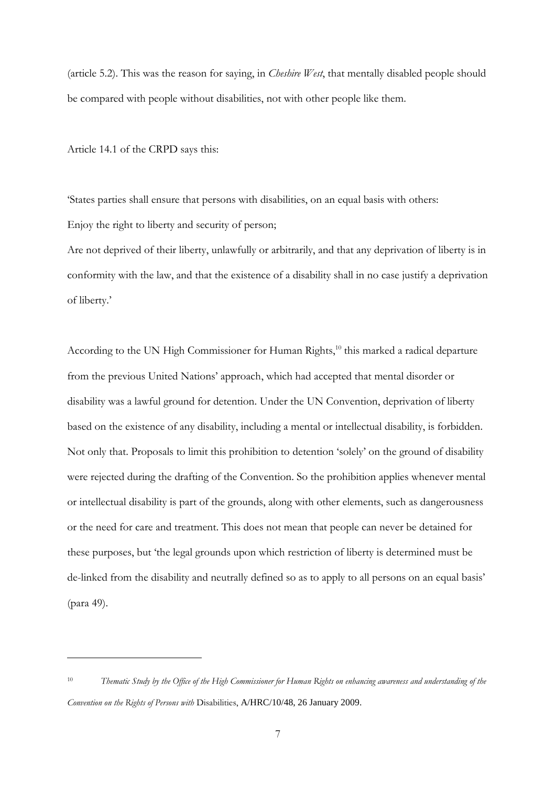(article 5.2). This was the reason for saying, in *Cheshire West*, that mentally disabled people should be compared with people without disabilities, not with other people like them.

Article 14.1 of the CRPD says this:

<u>.</u>

'States parties shall ensure that persons with disabilities, on an equal basis with others: Enjoy the right to liberty and security of person;

Are not deprived of their liberty, unlawfully or arbitrarily, and that any deprivation of liberty is in conformity with the law, and that the existence of a disability shall in no case justify a deprivation of liberty.'

According to the UN High Commissioner for Human Rights,<sup>10</sup> this marked a radical departure from the previous United Nations' approach, which had accepted that mental disorder or disability was a lawful ground for detention. Under the UN Convention, deprivation of liberty based on the existence of any disability, including a mental or intellectual disability, is forbidden. Not only that. Proposals to limit this prohibition to detention 'solely' on the ground of disability were rejected during the drafting of the Convention. So the prohibition applies whenever mental or intellectual disability is part of the grounds, along with other elements, such as dangerousness or the need for care and treatment. This does not mean that people can never be detained for these purposes, but 'the legal grounds upon which restriction of liberty is determined must be de-linked from the disability and neutrally defined so as to apply to all persons on an equal basis' (para 49).

<sup>10</sup> *Thematic Study by the Office of the High Commissioner for Human Rights on enhancing awareness and understanding of the Convention on the Rights of Persons with* Disabilities, A/HRC/10/48, 26 January 2009.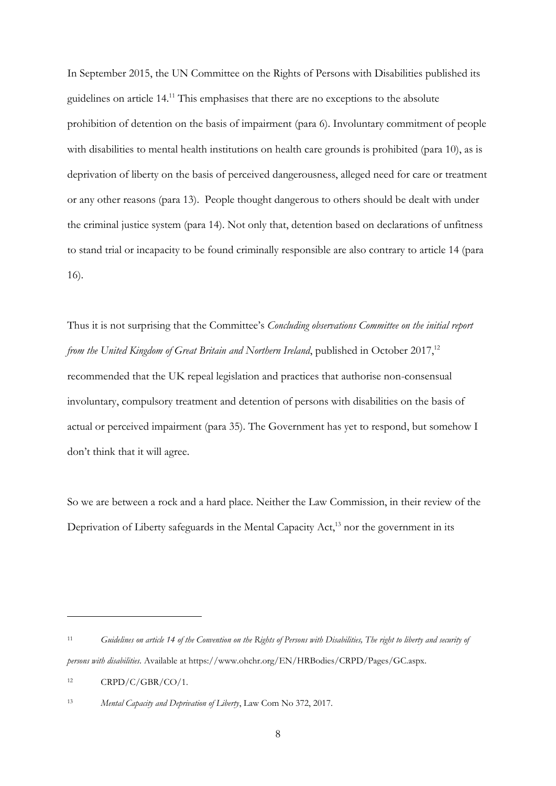In September 2015, the UN Committee on the Rights of Persons with Disabilities published its guidelines on article 14.<sup>11</sup> This emphasises that there are no exceptions to the absolute prohibition of detention on the basis of impairment (para 6). Involuntary commitment of people with disabilities to mental health institutions on health care grounds is prohibited (para 10), as is deprivation of liberty on the basis of perceived dangerousness, alleged need for care or treatment or any other reasons (para 13). People thought dangerous to others should be dealt with under the criminal justice system (para 14). Not only that, detention based on declarations of unfitness to stand trial or incapacity to be found criminally responsible are also contrary to article 14 (para 16).

Thus it is not surprising that the Committee's *Concluding observations Committee on the initial report from the United Kingdom of Great Britain and Northern Ireland*, published in October 2017,<sup>12</sup> recommended that the UK repeal legislation and practices that authorise non-consensual involuntary, compulsory treatment and detention of persons with disabilities on the basis of actual or perceived impairment (para 35). The Government has yet to respond, but somehow I don't think that it will agree.

So we are between a rock and a hard place. Neither the Law Commission, in their review of the Deprivation of Liberty safeguards in the Mental Capacity Act,<sup>13</sup> nor the government in its

<sup>11</sup> *Guidelines on article 14 of the Convention on the Rights of Persons with Disabilities, The right to liberty and security of persons with disabilities.* Available at https://www.ohchr.org/EN/HRBodies/CRPD/Pages/GC.aspx.

 $12$  CRPD/C/GBR/CO/1.

<sup>13</sup> *Mental Capacity and Deprivation of Liberty*, Law Com No 372, 2017.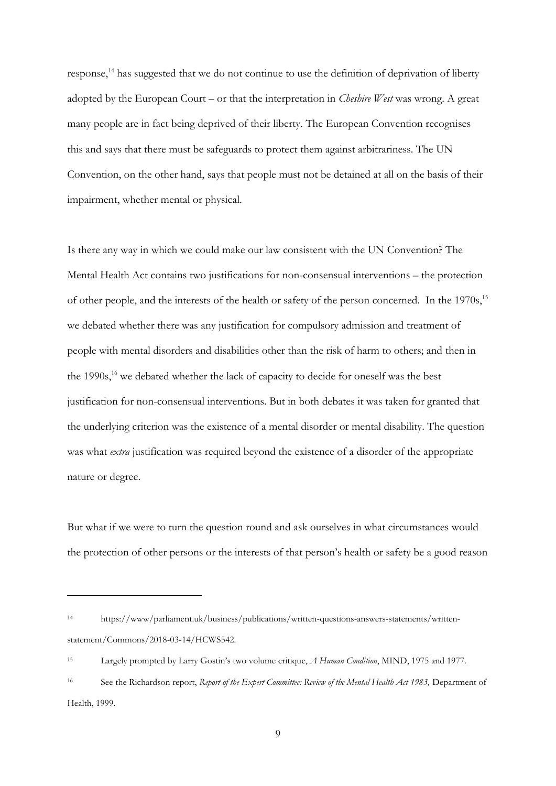response,<sup>14</sup> has suggested that we do not continue to use the definition of deprivation of liberty adopted by the European Court – or that the interpretation in *Cheshire West* was wrong. A great many people are in fact being deprived of their liberty. The European Convention recognises this and says that there must be safeguards to protect them against arbitrariness. The UN Convention, on the other hand, says that people must not be detained at all on the basis of their impairment, whether mental or physical.

Is there any way in which we could make our law consistent with the UN Convention? The Mental Health Act contains two justifications for non-consensual interventions – the protection of other people, and the interests of the health or safety of the person concerned. In the 1970s,<sup>15</sup> we debated whether there was any justification for compulsory admission and treatment of people with mental disorders and disabilities other than the risk of harm to others; and then in the 1990s,<sup>16</sup> we debated whether the lack of capacity to decide for oneself was the best justification for non-consensual interventions. But in both debates it was taken for granted that the underlying criterion was the existence of a mental disorder or mental disability. The question was what *extra* justification was required beyond the existence of a disorder of the appropriate nature or degree.

But what if we were to turn the question round and ask ourselves in what circumstances would the protection of other persons or the interests of that person's health or safety be a good reason

<sup>14</sup> https://www/parliament.uk/business/publications/written-questions-answers-statements/writtenstatement/Commons/2018-03-14/HCWS542.

<sup>15</sup> Largely prompted by Larry Gostin's two volume critique, *A Human Condition*, MIND, 1975 and 1977.

<sup>16</sup> See the Richardson report, *Report of the Expert Committee: Review of the Mental Health Act 1983,* Department of Health, 1999.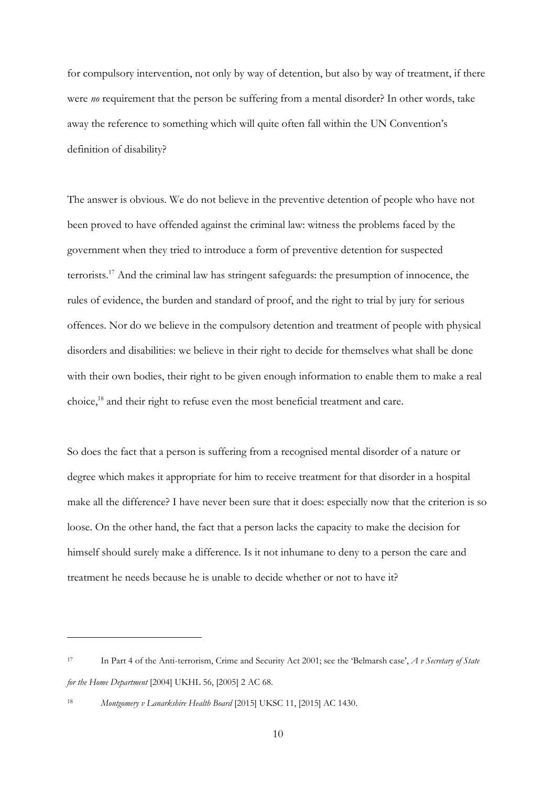for compulsory intervention, not only by way of detention, but also by way of treatment, if there were *no* requirement that the person be suffering from a mental disorder? In other words, take away the reference to something which will quite often fall within the UN Convention's definition of disability?

The answer is obvious. We do not believe in the preventive detention of people who have not been proved to have offended against the criminal law: witness the problems faced by the government when they tried to introduce a form of preventive detention for suspected terrorists.<sup>17</sup> And the criminal law has stringent safeguards: the presumption of innocence, the rules of evidence, the burden and standard of proof, and the right to trial by jury for serious offences. Nor do we believe in the compulsory detention and treatment of people with physical disorders and disabilities: we believe in their right to decide for themselves what shall be done with their own bodies, their right to be given enough information to enable them to make a real choice, <sup>18</sup> and their right to refuse even the most beneficial treatment and care.

So does the fact that a person is suffering from a recognised mental disorder of a nature or degree which makes it appropriate for him to receive treatment for that disorder in a hospital make all the difference? I have never been sure that it does: especially now that the criterion is so loose. On the other hand, the fact that a person lacks the capacity to make the decision for himself should surely make a difference. Is it not inhumane to deny to a person the care and treatment he needs because he is unable to decide whether or not to have it?

<sup>17</sup> In Part 4 of the Anti-terrorism, Crime and Security Act 2001; see the 'Belmarsh case', *A v Secretary of State for the Home Department* [2004] UKHL 56, [2005] 2 AC 68.

<sup>18</sup> *Montgomery v Lanarkshire Health Board* [2015] UKSC 11, [2015] AC 1430.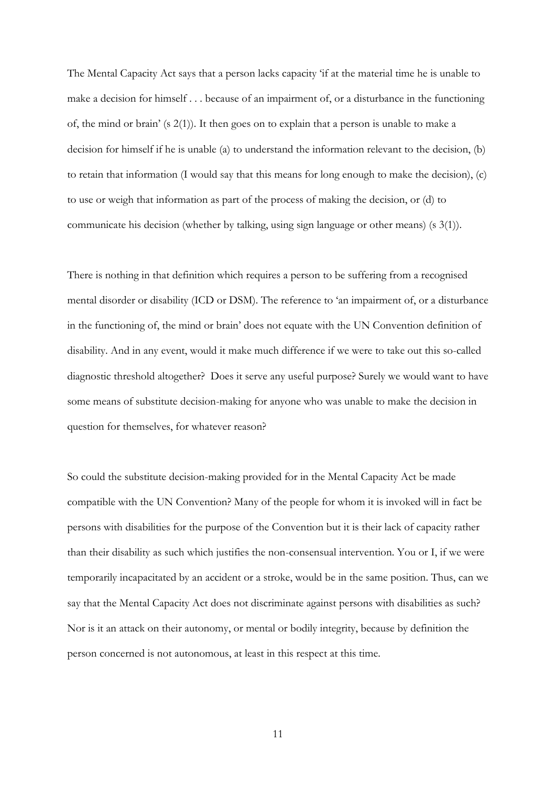The Mental Capacity Act says that a person lacks capacity 'if at the material time he is unable to make a decision for himself . . . because of an impairment of, or a disturbance in the functioning of, the mind or brain' (s 2(1)). It then goes on to explain that a person is unable to make a decision for himself if he is unable (a) to understand the information relevant to the decision, (b) to retain that information (I would say that this means for long enough to make the decision), (c) to use or weigh that information as part of the process of making the decision, or (d) to communicate his decision (whether by talking, using sign language or other means) (s 3(1)).

There is nothing in that definition which requires a person to be suffering from a recognised mental disorder or disability (ICD or DSM). The reference to 'an impairment of, or a disturbance in the functioning of, the mind or brain' does not equate with the UN Convention definition of disability. And in any event, would it make much difference if we were to take out this so-called diagnostic threshold altogether? Does it serve any useful purpose? Surely we would want to have some means of substitute decision-making for anyone who was unable to make the decision in question for themselves, for whatever reason?

So could the substitute decision-making provided for in the Mental Capacity Act be made compatible with the UN Convention? Many of the people for whom it is invoked will in fact be persons with disabilities for the purpose of the Convention but it is their lack of capacity rather than their disability as such which justifies the non-consensual intervention. You or I, if we were temporarily incapacitated by an accident or a stroke, would be in the same position. Thus, can we say that the Mental Capacity Act does not discriminate against persons with disabilities as such? Nor is it an attack on their autonomy, or mental or bodily integrity, because by definition the person concerned is not autonomous, at least in this respect at this time.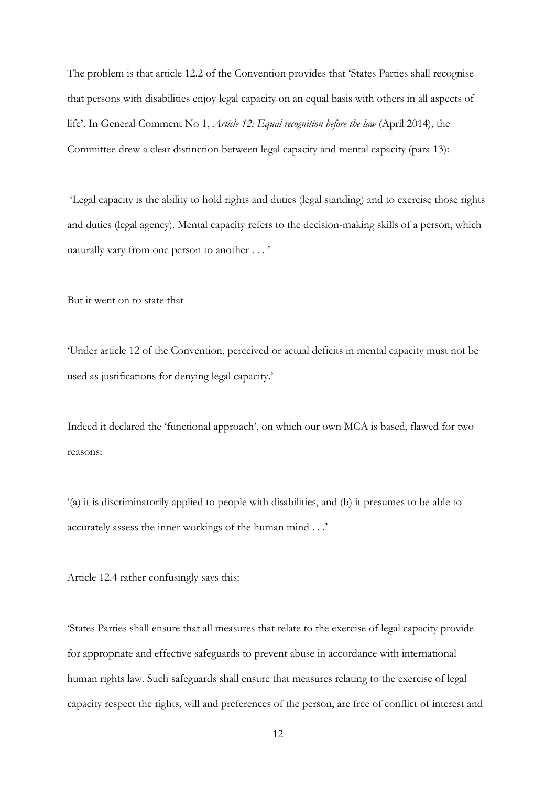The problem is that article 12.2 of the Convention provides that 'States Parties shall recognise that persons with disabilities enjoy legal capacity on an equal basis with others in all aspects of life'. In General Comment No 1, *Article 12: Equal recognition before the law* (April 2014), the Committee drew a clear distinction between legal capacity and mental capacity (para 13):

'Legal capacity is the ability to hold rights and duties (legal standing) and to exercise those rights and duties (legal agency). Mental capacity refers to the decision-making skills of a person, which naturally vary from one person to another . . . '

But it went on to state that

'Under article 12 of the Convention, perceived or actual deficits in mental capacity must not be used as justifications for denying legal capacity.'

Indeed it declared the 'functional approach', on which our own MCA is based, flawed for two reasons:

'(a) it is discriminatorily applied to people with disabilities, and (b) it presumes to be able to accurately assess the inner workings of the human mind . . .'

Article 12.4 rather confusingly says this:

'States Parties shall ensure that all measures that relate to the exercise of legal capacity provide for appropriate and effective safeguards to prevent abuse in accordance with international human rights law. Such safeguards shall ensure that measures relating to the exercise of legal capacity respect the rights, will and preferences of the person, are free of conflict of interest and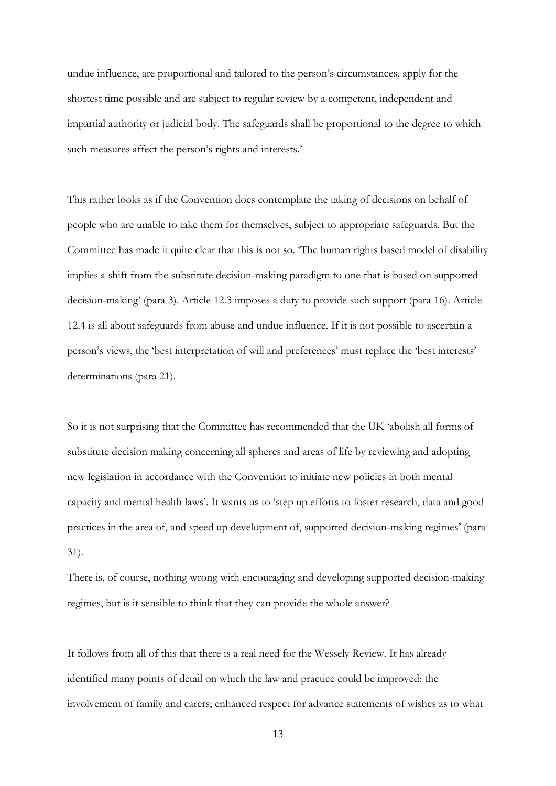undue influence, are proportional and tailored to the person's circumstances, apply for the shortest time possible and are subject to regular review by a competent, independent and impartial authority or judicial body. The safeguards shall be proportional to the degree to which such measures affect the person's rights and interests.'

This rather looks as if the Convention does contemplate the taking of decisions on behalf of people who are unable to take them for themselves, subject to appropriate safeguards. But the Committee has made it quite clear that this is not so. 'The human rights based model of disability implies a shift from the substitute decision-making paradigm to one that is based on supported decision-making' (para 3). Article 12.3 imposes a duty to provide such support (para 16). Article 12.4 is all about safeguards from abuse and undue influence. If it is not possible to ascertain a person's views, the 'best interpretation of will and preferences' must replace the 'best interests' determinations (para 21).

So it is not surprising that the Committee has recommended that the UK 'abolish all forms of substitute decision making concerning all spheres and areas of life by reviewing and adopting new legislation in accordance with the Convention to initiate new policies in both mental capacity and mental health laws'. It wants us to 'step up efforts to foster research, data and good practices in the area of, and speed up development of, supported decision-making regimes' (para 31).

There is, of course, nothing wrong with encouraging and developing supported decision-making regimes, but is it sensible to think that they can provide the whole answer?

It follows from all of this that there is a real need for the Wessely Review. It has already identified many points of detail on which the law and practice could be improved: the involvement of family and carers; enhanced respect for advance statements of wishes as to what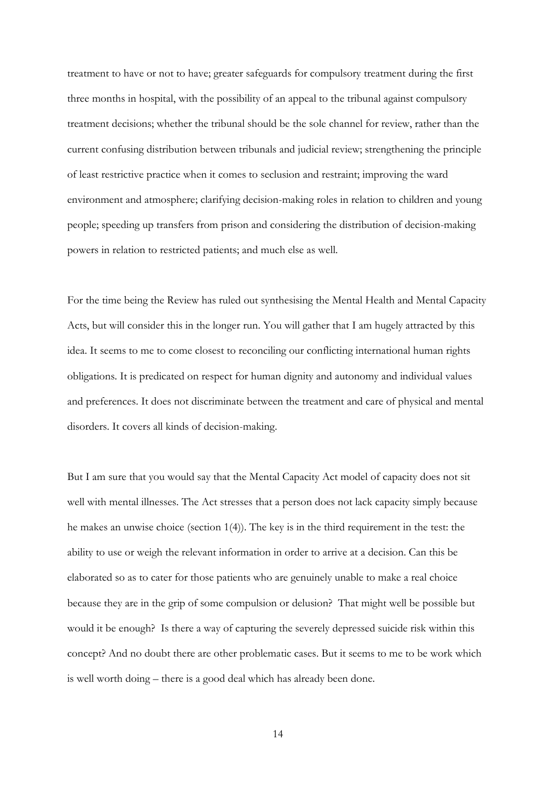treatment to have or not to have; greater safeguards for compulsory treatment during the first three months in hospital, with the possibility of an appeal to the tribunal against compulsory treatment decisions; whether the tribunal should be the sole channel for review, rather than the current confusing distribution between tribunals and judicial review; strengthening the principle of least restrictive practice when it comes to seclusion and restraint; improving the ward environment and atmosphere; clarifying decision-making roles in relation to children and young people; speeding up transfers from prison and considering the distribution of decision-making powers in relation to restricted patients; and much else as well.

For the time being the Review has ruled out synthesising the Mental Health and Mental Capacity Acts, but will consider this in the longer run. You will gather that I am hugely attracted by this idea. It seems to me to come closest to reconciling our conflicting international human rights obligations. It is predicated on respect for human dignity and autonomy and individual values and preferences. It does not discriminate between the treatment and care of physical and mental disorders. It covers all kinds of decision-making.

But I am sure that you would say that the Mental Capacity Act model of capacity does not sit well with mental illnesses. The Act stresses that a person does not lack capacity simply because he makes an unwise choice (section 1(4)). The key is in the third requirement in the test: the ability to use or weigh the relevant information in order to arrive at a decision. Can this be elaborated so as to cater for those patients who are genuinely unable to make a real choice because they are in the grip of some compulsion or delusion? That might well be possible but would it be enough? Is there a way of capturing the severely depressed suicide risk within this concept? And no doubt there are other problematic cases. But it seems to me to be work which is well worth doing – there is a good deal which has already been done.

14